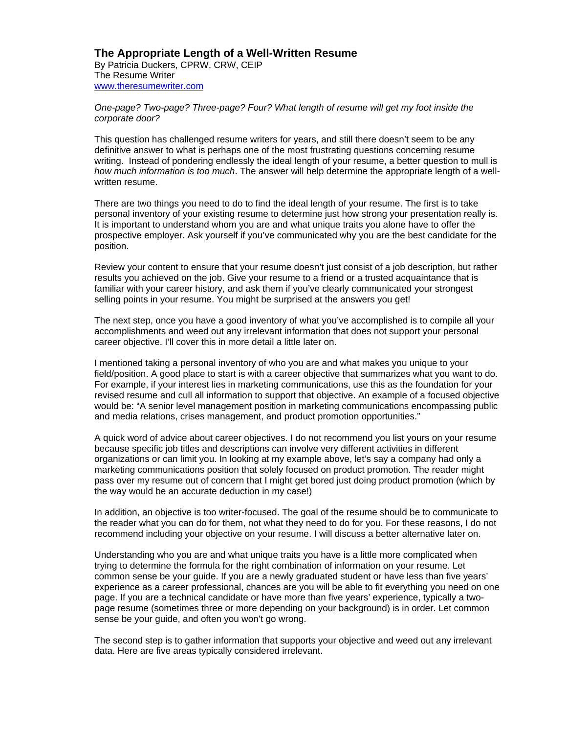## **The Appropriate Length of a Well-Written Resume**

By Patricia Duckers, CPRW, CRW, CEIP The Resume Writer www.theresumewriter.com

*One-page? Two-page? Three-page? Four? What length of resume will get my foot inside the corporate door?* 

This question has challenged resume writers for years, and still there doesn't seem to be any definitive answer to what is perhaps one of the most frustrating questions concerning resume writing. Instead of pondering endlessly the ideal length of your resume, a better question to mull is *how much information is too much*. The answer will help determine the appropriate length of a wellwritten resume.

There are two things you need to do to find the ideal length of your resume. The first is to take personal inventory of your existing resume to determine just how strong your presentation really is. It is important to understand whom you are and what unique traits you alone have to offer the prospective employer. Ask yourself if you've communicated why you are the best candidate for the position.

Review your content to ensure that your resume doesn't just consist of a job description, but rather results you achieved on the job. Give your resume to a friend or a trusted acquaintance that is familiar with your career history, and ask them if you've clearly communicated your strongest selling points in your resume. You might be surprised at the answers you get!

The next step, once you have a good inventory of what you've accomplished is to compile all your accomplishments and weed out any irrelevant information that does not support your personal career objective. I'll cover this in more detail a little later on.

I mentioned taking a personal inventory of who you are and what makes you unique to your field/position. A good place to start is with a career objective that summarizes what you want to do. For example, if your interest lies in marketing communications, use this as the foundation for your revised resume and cull all information to support that objective. An example of a focused objective would be: "A senior level management position in marketing communications encompassing public and media relations, crises management, and product promotion opportunities."

A quick word of advice about career objectives. I do not recommend you list yours on your resume because specific job titles and descriptions can involve very different activities in different organizations or can limit you. In looking at my example above, let's say a company had only a marketing communications position that solely focused on product promotion. The reader might pass over my resume out of concern that I might get bored just doing product promotion (which by the way would be an accurate deduction in my case!)

In addition, an objective is too writer-focused. The goal of the resume should be to communicate to the reader what you can do for them, not what they need to do for you. For these reasons, I do not recommend including your objective on your resume. I will discuss a better alternative later on.

Understanding who you are and what unique traits you have is a little more complicated when trying to determine the formula for the right combination of information on your resume. Let common sense be your guide. If you are a newly graduated student or have less than five years' experience as a career professional, chances are you will be able to fit everything you need on one page. If you are a technical candidate or have more than five years' experience, typically a twopage resume (sometimes three or more depending on your background) is in order. Let common sense be your guide, and often you won't go wrong.

The second step is to gather information that supports your objective and weed out any irrelevant data. Here are five areas typically considered irrelevant.